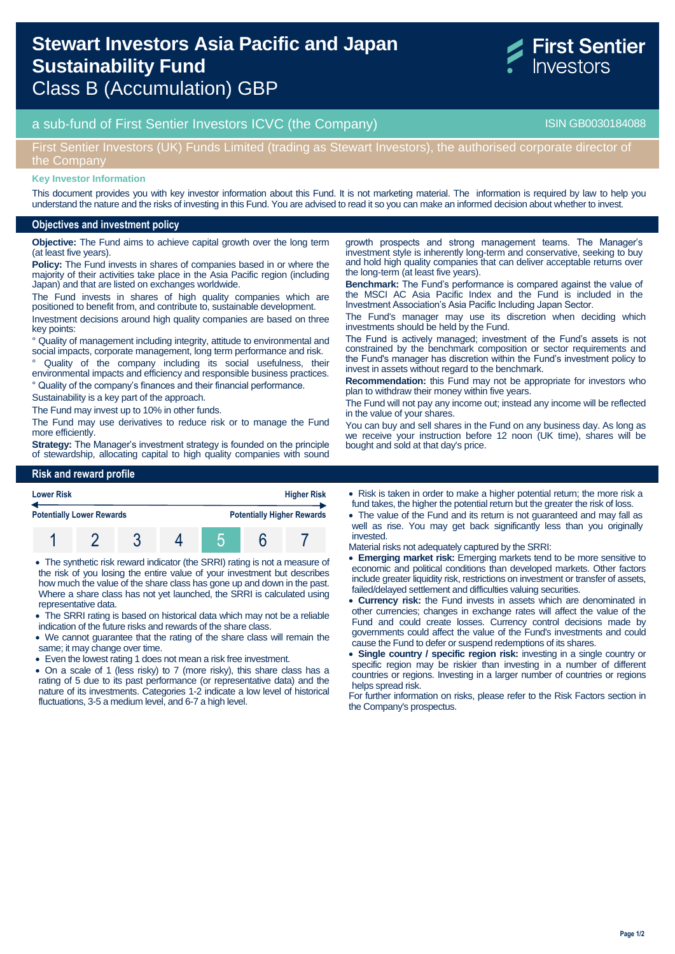# **Stewart Investors Asia Pacific and Japan Sustainability Fund**  Class B (Accumulation) GBP

## a sub-fund of First Sentier Investors ICVC (the Company) and the Company ISIN GB0030184088

## First Sentier Investors (UK) Funds Limited (trading as Stewart Investors), the authorised corporate director of the Company

#### **Key Investor Information**

This document provides you with key investor information about this Fund. It is not marketing material. The information is required by law to help you understand the nature and the risks of investing in this Fund. You are advised to read it so you can make an informed decision about whether to invest.

#### **Objectives and investment policy**

**Objective:** The Fund aims to achieve capital growth over the long term (at least five years).

**Policy:** The Fund invests in shares of companies based in or where the majority of their activities take place in the Asia Pacific region (including Japan) and that are listed on exchanges worldwide.

The Fund invests in shares of high quality companies which are positioned to benefit from, and contribute to, sustainable development.

Investment decisions around high quality companies are based on three key points:

° Quality of management including integrity, attitude to environmental and social impacts, corporate management, long term performance and risk.

Quality of the company including its social usefulness, their environmental impacts and efficiency and responsible business practices. ° Quality of the company's finances and their financial performance.

Sustainability is a key part of the approach.

The Fund may invest up to 10% in other funds.

The Fund may use derivatives to reduce risk or to manage the Fund

more efficiently. **Strategy:** The Manager's investment strategy is founded on the principle of stewardship, allocating capital to high quality companies with sound

#### **Risk and reward profile**



 The synthetic risk reward indicator (the SRRI) rating is not a measure of the risk of you losing the entire value of your investment but describes how much the value of the share class has gone up and down in the past. Where a share class has not yet launched, the SRRI is calculated using representative data.

- The SRRI rating is based on historical data which may not be a reliable indication of the future risks and rewards of the share class.
- We cannot guarantee that the rating of the share class will remain the same; it may change over time.
- Even the lowest rating 1 does not mean a risk free investment.
- On a scale of 1 (less risky) to 7 (more risky), this share class has a rating of 5 due to its past performance (or representative data) and the nature of its investments. Categories 1-2 indicate a low level of historical fluctuations, 3-5 a medium level, and 6-7 a high level.

growth prospects and strong management teams. The Manager's investment style is inherently long-term and conservative, seeking to buy and hold high quality companies that can deliver acceptable returns over the long-term (at least five years).

**Benchmark:** The Fund's performance is compared against the value of the MSCI AC Asia Pacific Index and the Fund is included in the Investment Association's Asia Pacific Including Japan Sector.

The Fund's manager may use its discretion when deciding which investments should be held by the Fund.

The Fund is actively managed; investment of the Fund's assets is not constrained by the benchmark composition or sector requirements and the Fund's manager has discretion within the Fund's investment policy to invest in assets without regard to the benchmark.

**Recommendation:** this Fund may not be appropriate for investors who plan to withdraw their money within five years.

The Fund will not pay any income out; instead any income will be reflected in the value of your shares.

You can buy and sell shares in the Fund on any business day. As long as we receive your instruction before 12 noon (UK time), shares will be bought and sold at that day's price.

- Risk is taken in order to make a higher potential return; the more risk a fund takes, the higher the potential return but the greater the risk of loss.
- The value of the Fund and its return is not guaranteed and may fall as well as rise. You may get back significantly less than you originally invested.

Material risks not adequately captured by the SRRI:

- **Emerging market risk:** Emerging markets tend to be more sensitive to economic and political conditions than developed markets. Other factors include greater liquidity risk, restrictions on investment or transfer of assets, failed/delayed settlement and difficulties valuing securities.
- **Currency risk:** the Fund invests in assets which are denominated in other currencies; changes in exchange rates will affect the value of the Fund and could create losses. Currency control decisions made by governments could affect the value of the Fund's investments and could cause the Fund to defer or suspend redemptions of its shares.
- **Single country / specific region risk:** investing in a single country or specific region may be riskier than investing in a number of different countries or regions. Investing in a larger number of countries or regions helps spread risk.

For further information on risks, please refer to the Risk Factors section in the Company's prospectus.